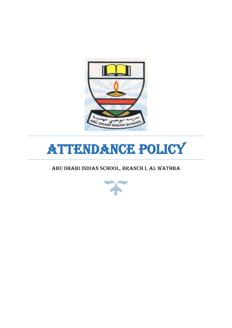

# Attendance Policy

ABU DHABI INDIAN SCHOOL, BRANCH I, AL WATHBA

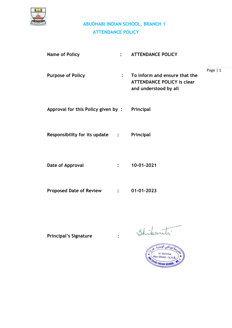

| <b>Name of Policy</b>                  | $\bullet$      | <b>ATTENDANCE POLICY</b>                                                                    |           |
|----------------------------------------|----------------|---------------------------------------------------------------------------------------------|-----------|
| <b>Purpose of Policy</b>               | $\ddot{\cdot}$ | To inform and ensure that the<br><b>ATTENDANCE POLICY is clear</b><br>and understood by all | Page $ 1$ |
| Approval for this Policy given by:     |                | Principal                                                                                   |           |
| <b>Responsibility for its update :</b> |                | Principal                                                                                   |           |
| Date of Approval                       | $\ddot{\cdot}$ | 10-01-2021                                                                                  |           |
| <b>Proposed Date of Review</b>         | $\mathbf{L}$   | 01-01-2023                                                                                  |           |

**Principal's Signature :** 

Shikanti.

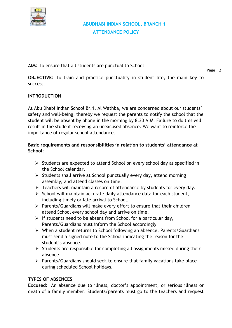

**AIM:** To ensure that all students are punctual to School

**OBJECTIVE:** To train and practice punctuality in student life, the main key to success.

#### **INTRODUCTION**

At Abu Dhabi Indian School Br.1, Al Wathba, we are concerned about our students' safety and well-being, thereby we request the parents to notify the school that the student will be absent by phone in the morning by 8.30 A.M. Failure to do this will result in the student receiving an unexcused absence. We want to reinforce the importance of regular school attendance.

#### **Basic requirements and responsibilities in relation to students' attendance at School:**

- ➢ Students are expected to attend School on every school day as specified in the School calendar.
- ➢ Students shall arrive at School punctually every day, attend morning assembly, and attend classes on time.
- ➢ Teachers will maintain a record of attendance by students for every day.
- $\triangleright$  School will maintain accurate daily attendance data for each student, including timely or late arrival to School.
- ➢ Parents/Guardians will make every effort to ensure that their children attend School every school day and arrive on time.
- $\triangleright$  If students need to be absent from School for a particular day, Parents/Guardians must inform the School accordingly
- ➢ When a student returns to School following an absence, Parents/Guardians must send a signed note to the School indicating the reason for the student's absence.
- $\triangleright$  Students are responsible for completing all assignments missed during their absence
- ➢ Parents/Guardians should seek to ensure that family vacations take place during scheduled School holidays.

#### **TYPES OF ABSENCES**

**Excused:** An absence due to illness, doctor's appointment, or serious illness or death of a family member. Students/parents must go to the teachers and request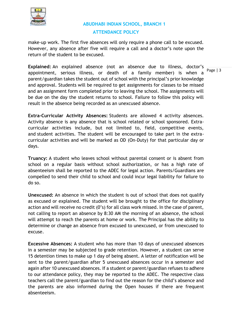

make-up work. The first five absences will only require a phone call to be excused. However, any absence after five will require a call and a doctor's note upon the return of the student to be excused.

**Explained:** An explained absence (not an absence due to illness, doctor's appointment, serious illness, or death of a family member) is when a parent/guardian takes the student out of school with the principal's prior knowledge and approval. Students will be required to get assignments for classes to be missed and an assignment form completed prior to leaving the school. The assignments will be due on the day the student returns to school. Failure to follow this policy will result in the absence being recorded as an unexcused absence.

**Extra-Curricular Activity Absences:** Students are allowed 4 activity absences. Activity absence is any absence that is school related or school sponsored. Extracurricular activities include, but not limited to, field, competitive events, and student activities. The student will be encouraged to take part in the extracurricular activities and will be marked as OD (On-Duty) for that particular day or days.

**Truancy:** A student who leaves school without parental consent or is absent from school on a regular basis without school authorization, or has a high rate of absenteeism shall be reported to the ADEC for legal action. Parents/Guardians are compelled to send their child to school and could incur legal liability for failure to do so.

**Unexcused:** An absence in which the student is out of school that does not qualify as excused or explained. The student will be brought to the office for disciplinary action and will receive no credit (0's) for all class work missed. In the case of parent, not calling to report an absence by 8:30 AM the morning of an absence, the school will attempt to reach the parents at home or work. The Principal has the ability to determine or change an absence from excused to unexcused, or from unexcused to excuse.

**Excessive Absences:** A student who has more than 10 days of unexcused absences in a semester may be subjected to grade retention. However, a student can serve 15 detention times to make up 1 day of being absent. A letter of notification will be sent to the parent/guardian after 5 unexcused absences occur in a semester and again after 10 unexcused absences. If a student or parent/guardian refuses to adhere to our attendance policy, they may be reported to the ADEC. The respective class teachers call the parent/guardian to find out the reason for the child's absence and the parents are also informed during the Open houses if there are frequent absenteeism.

Page | 3